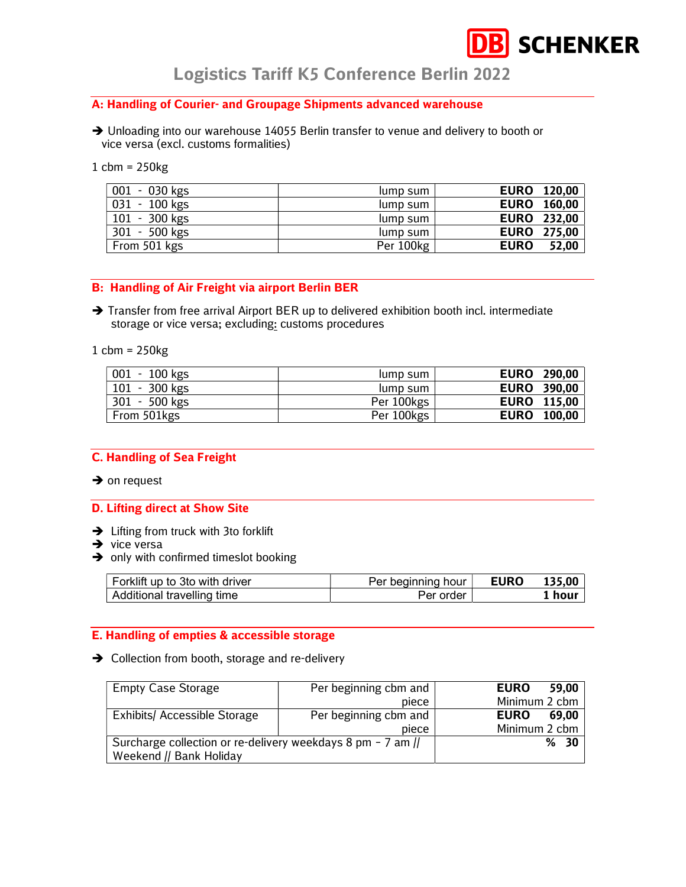# **SCHENKER**

Logistics Tariff K5 Conference Berlin 2022

### A: Handling of Courier- and Groupage Shipments advanced warehouse

- → Unloading into our warehouse 14055 Berlin transfer to venue and delivery to booth or vice versa (excl. customs formalities)
- 1 cbm = 250kg

| 001 - 030 kgs | lump sum  | <b>EURO</b> 120,00   |
|---------------|-----------|----------------------|
| 031 - 100 kgs | lump sum  | <b>EURO</b> 160,00   |
| 101 - 300 kgs | lump sum  | <b>EURO 232,00</b>   |
| 301 - 500 kgs | lump sum  | <b>EURO 275,00</b>   |
| From 501 kgs  | Per 100kg | <b>EURO</b><br>52,00 |

#### B: Handling of Air Freight via airport Berlin BER

 $\rightarrow$  Transfer from free arrival Airport BER up to delivered exhibition booth incl. intermediate storage or vice versa; excluding: customs procedures

1 cbm = 250kg

| 001 - 100 kgs | lump sum   | <b>EURO</b><br>290,00 |
|---------------|------------|-----------------------|
| 101 - 300 kgs | lump sum   | <b>EURO</b><br>390,00 |
| 301 - 500 kgs | Per 100kgs | <b>EURO</b> 115,00    |
| From 501kgs   | Per 100kgs | <b>EURO</b><br>100,00 |

#### C. Handling of Sea Freight

 $\rightarrow$  on request

#### D. Lifting direct at Show Site

- $\rightarrow$  Lifting from truck with 3to forklift
- $\rightarrow$  vice versa
- $\rightarrow$  only with confirmed timeslot booking

| Forklift up to 3to with driver | Per beginning hour ' | <b>EURO</b> | 135,00 |
|--------------------------------|----------------------|-------------|--------|
| Additional travelling time     | Per order            |             | hour   |

#### E. Handling of empties & accessible storage

**→** Collection from booth, storage and re-delivery

| <b>Empty Case Storage</b>                                   | Per beginning cbm and | <b>EURO</b><br>59,00 |
|-------------------------------------------------------------|-----------------------|----------------------|
|                                                             | piece                 | Minimum 2 cbm        |
| <b>Exhibits/ Accessible Storage</b>                         | Per beginning cbm and | <b>EURO</b><br>69.00 |
|                                                             | piece                 | Minimum 2 cbm        |
| Surcharge collection or re-delivery weekdays 8 pm - 7 am // |                       | %30                  |
| Weekend // Bank Holiday                                     |                       |                      |